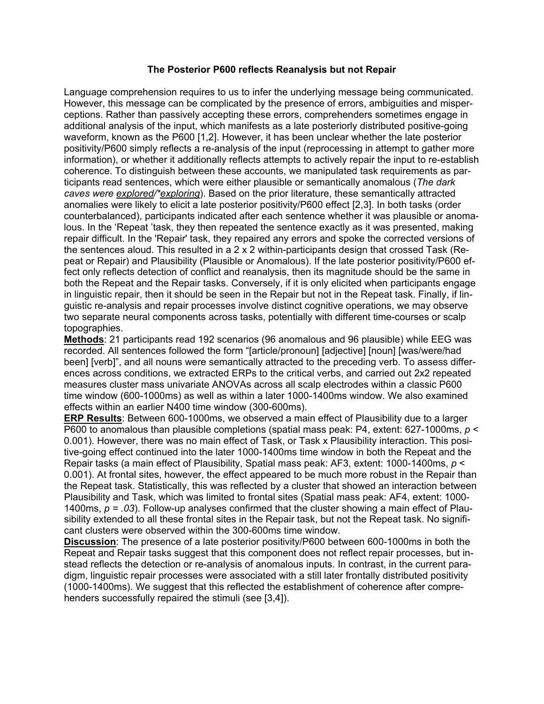## **The Posterior P600 reflects Reanalysis but not Repair**

Language comprehension requires to us to infer the underlying message being communicated. However, this message can be complicated by the presence of errors, ambiguities and misperceptions. Rather than passively accepting these errors, comprehenders sometimes engage in additional analysis of the input, which manifests as a late posteriorly distributed positive-going waveform, known as the P600 [1,2]. However, it has been unclear whether the late posterior positivity/P600 simply reflects a re-analysis of the input (reprocessing in attempt to gather more information), or whether it additionally reflects attempts to actively repair the input to re-establish coherence. To distinguish between these accounts, we manipulated task requirements as participants read sentences, which were either plausible or semantically anomalous (*The dark caves were explored/\*exploring*). Based on the prior literature, these semantically attracted anomalies were likely to elicit a late posterior positivity/P600 effect [2,3]. In both tasks (order counterbalanced), participants indicated after each sentence whether it was plausible or anomalous. In the 'Repeat 'task, they then repeated the sentence exactly as it was presented, making repair difficult. In the 'Repair' task, they repaired any errors and spoke the corrected versions of the sentences aloud. This resulted in a 2 x 2 within-participants design that crossed Task (Repeat or Repair) and Plausibility (Plausible or Anomalous). If the late posterior positivity/P600 effect only reflects detection of conflict and reanalysis, then its magnitude should be the same in both the Repeat and the Repair tasks. Conversely, if it is only elicited when participants engage in linguistic repair, then it should be seen in the Repair but not in the Repeat task. Finally, if linguistic re-analysis and repair processes involve distinct cognitive operations, we may observe two separate neural components across tasks, potentially with different time-courses or scalp topographies.

**Methods**: 21 participants read 192 scenarios (96 anomalous and 96 plausible) while EEG was recorded. All sentences followed the form "[article/pronoun] [adjective] [noun] [was/were/had been] [verb]", and all nouns were semantically attracted to the preceding verb. To assess differences across conditions, we extracted ERPs to the critical verbs, and carried out 2x2 repeated measures cluster mass univariate ANOVAs across all scalp electrodes within a classic P600 time window (600-1000ms) as well as within a later 1000-1400ms window. We also examined effects within an earlier N400 time window (300-600ms).

**ERP Results**: Between 600-1000ms, we observed a main effect of Plausibility due to a larger P600 to anomalous than plausible completions (spatial mass peak: P4, extent: 627-1000ms, *p* < 0.001). However, there was no main effect of Task, or Task x Plausibility interaction. This positive-going effect continued into the later 1000-1400ms time window in both the Repeat and the Repair tasks (a main effect of Plausibility, Spatial mass peak: AF3, extent: 1000-1400ms, *p* < 0.001). At frontal sites, however, the effect appeared to be much more robust in the Repair than the Repeat task. Statistically, this was reflected by a cluster that showed an interaction between Plausibility and Task, which was limited to frontal sites (Spatial mass peak: AF4, extent: 1000- 1400ms, *p = .03*). Follow-up analyses confirmed that the cluster showing a main effect of Plausibility extended to all these frontal sites in the Repair task, but not the Repeat task. No significant clusters were observed within the 300-600ms time window.

**Discussion**: The presence of a late posterior positivity/P600 between 600-1000ms in both the Repeat and Repair tasks suggest that this component does not reflect repair processes, but instead reflects the detection or re-analysis of anomalous inputs. In contrast, in the current paradigm, linguistic repair processes were associated with a still later frontally distributed positivity (1000-1400ms). We suggest that this reflected the establishment of coherence after comprehenders successfully repaired the stimuli (see [3,4]).